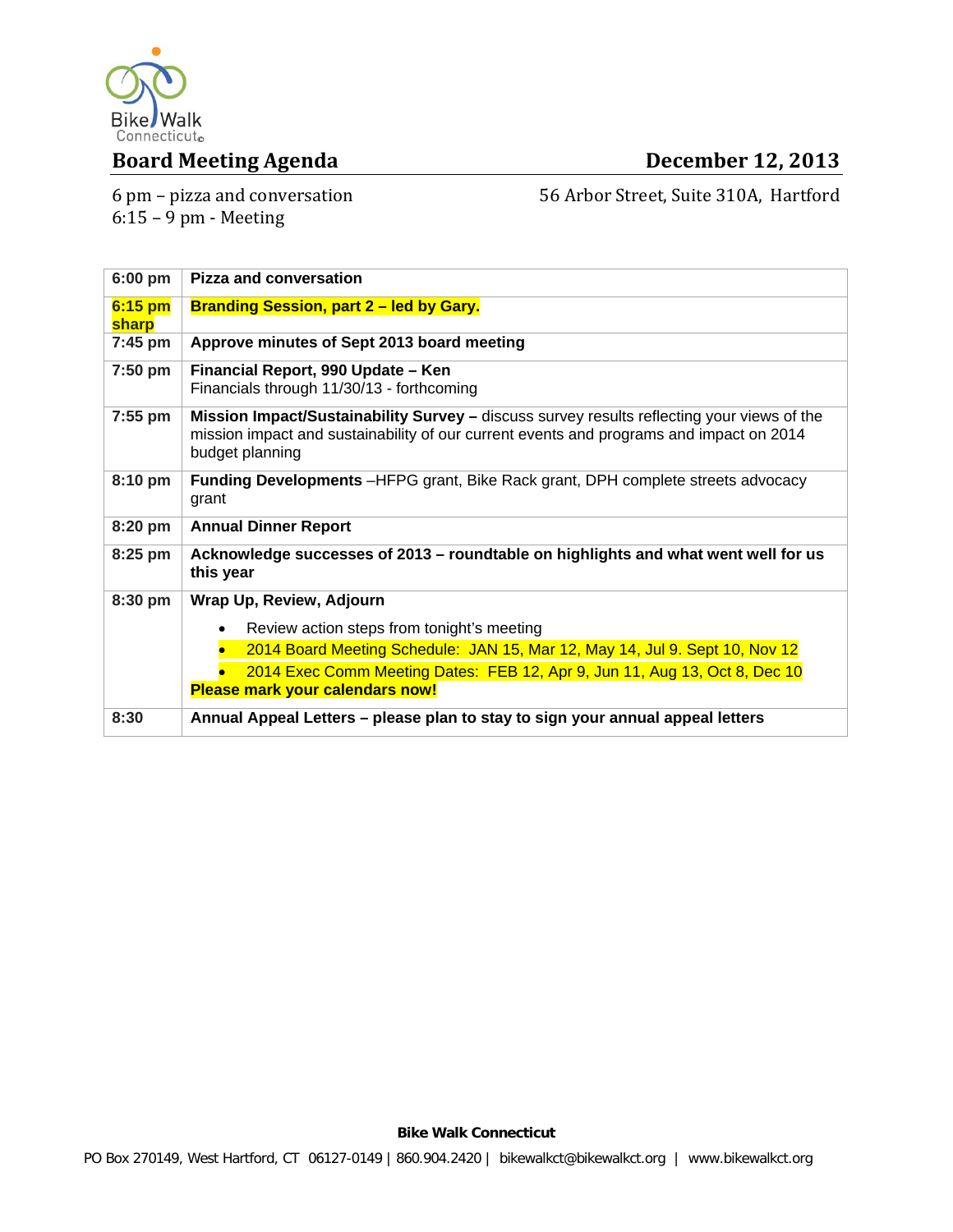

## **Board Meeting Agenda December 12, 2013**

6 pm – pizza and conversation  $6:15 - 9$  pm - Meeting

56 Arbor Street, Suite 310A, Hartford

| $6:00$ pm        | <b>Pizza and conversation</b>                                                                                                                                                                            |
|------------------|----------------------------------------------------------------------------------------------------------------------------------------------------------------------------------------------------------|
| 6:15 pm<br>sharp | <b>Branding Session, part 2 – led by Gary.</b>                                                                                                                                                           |
| $7:45$ pm        | Approve minutes of Sept 2013 board meeting                                                                                                                                                               |
| 7:50 pm          | Financial Report, 990 Update - Ken<br>Financials through 11/30/13 - forthcoming                                                                                                                          |
| 7:55 pm          | Mission Impact/Sustainability Survey - discuss survey results reflecting your views of the<br>mission impact and sustainability of our current events and programs and impact on 2014<br>budget planning |
| 8:10 pm          | <b>Funding Developments</b> -HFPG grant, Bike Rack grant, DPH complete streets advocacy<br>grant                                                                                                         |
| 8:20 pm          | <b>Annual Dinner Report</b>                                                                                                                                                                              |
| $8:25$ pm        | Acknowledge successes of 2013 - roundtable on highlights and what went well for us<br>this year                                                                                                          |
| 8:30 pm          | Wrap Up, Review, Adjourn                                                                                                                                                                                 |
|                  | Review action steps from tonight's meeting<br>$\bullet$                                                                                                                                                  |
|                  | 2014 Board Meeting Schedule: JAN 15, Mar 12, May 14, Jul 9. Sept 10, Nov 12                                                                                                                              |
|                  | 2014 Exec Comm Meeting Dates: FEB 12, Apr 9, Jun 11, Aug 13, Oct 8, Dec 10<br><b>Please mark your calendars now!</b>                                                                                     |
| 8:30             | Annual Appeal Letters – please plan to stay to sign your annual appeal letters                                                                                                                           |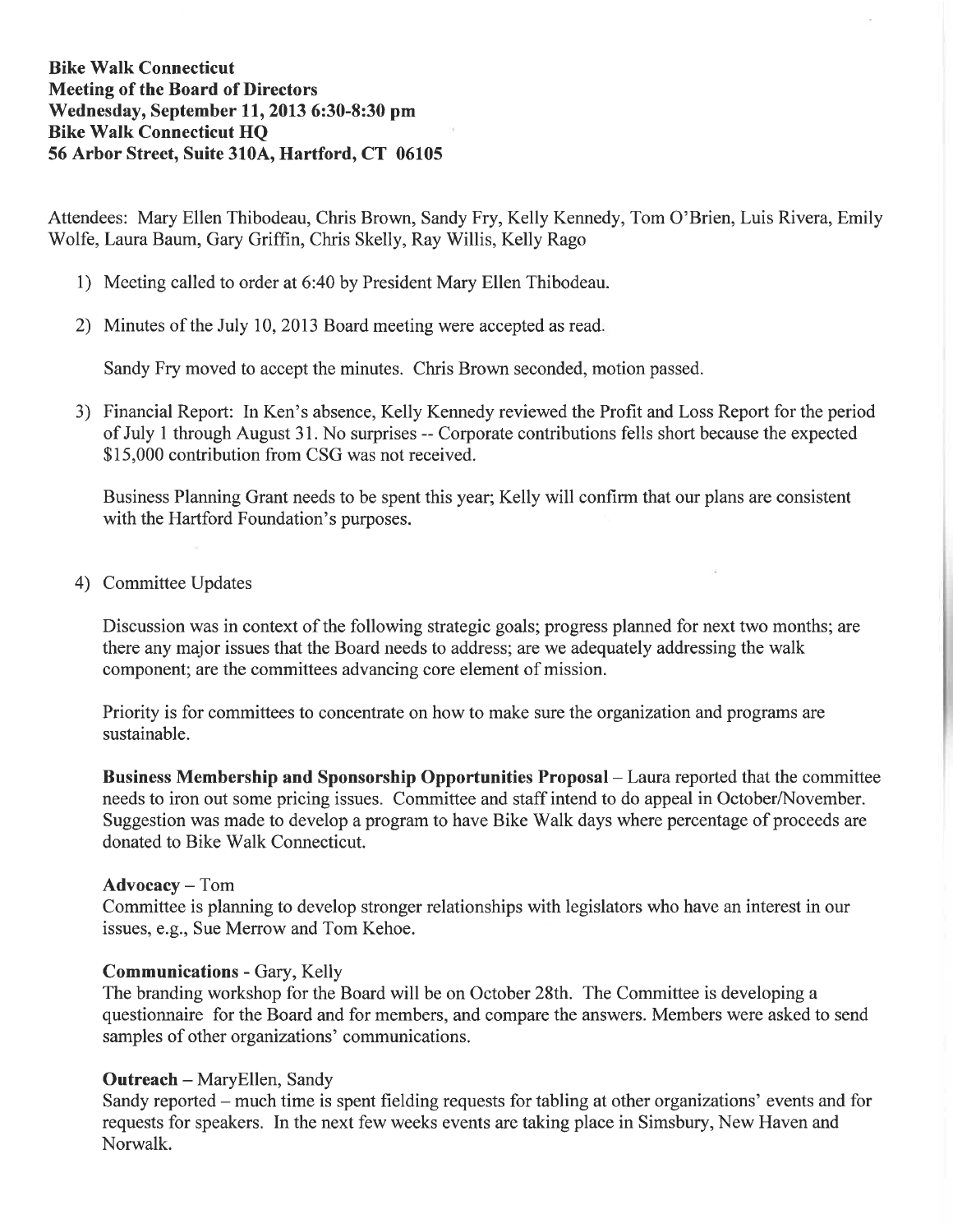## **Bike Walk Connecticut Meeting of the Board of Directors** Wednesday, September 11, 2013 6:30-8:30 pm **Bike Walk Connecticut HO** 56 Arbor Street, Suite 310A, Hartford, CT 06105

Attendees: Mary Ellen Thibodeau, Chris Brown, Sandy Fry, Kelly Kennedy, Tom O'Brien, Luis Rivera, Emily Wolfe, Laura Baum, Gary Griffin, Chris Skelly, Ray Willis, Kelly Rago

- 1) Meeting called to order at 6:40 by President Mary Ellen Thibodeau.
- 2) Minutes of the July 10, 2013 Board meeting were accepted as read.

Sandy Fry moved to accept the minutes. Chris Brown seconded, motion passed.

3) Financial Report: In Ken's absence, Kelly Kennedy reviewed the Profit and Loss Report for the period of July 1 through August 31. No surprises -- Corporate contributions fells short because the expected \$15,000 contribution from CSG was not received.

Business Planning Grant needs to be spent this year; Kelly will confirm that our plans are consistent with the Hartford Foundation's purposes.

4) Committee Updates

Discussion was in context of the following strategic goals; progress planned for next two months; are there any major issues that the Board needs to address; are we adequately addressing the walk component; are the committees advancing core element of mission.

Priority is for committees to concentrate on how to make sure the organization and programs are sustainable.

Business Membership and Sponsorship Opportunities Proposal – Laura reported that the committee needs to iron out some pricing issues. Committee and staff intend to do appeal in October/November. Suggestion was made to develop a program to have Bike Walk days where percentage of proceeds are donated to Bike Walk Connecticut.

### **Advocacy** – Tom

Committee is planning to develop stronger relationships with legislators who have an interest in our issues, e.g., Sue Merrow and Tom Kehoe.

### **Communications - Gary, Kelly**

The branding workshop for the Board will be on October 28th. The Committee is developing a questionnaire for the Board and for members, and compare the answers. Members were asked to send samples of other organizations' communications.

### **Outreach - MaryEllen, Sandy**

Sandy reported – much time is spent fielding requests for tabling at other organizations' events and for requests for speakers. In the next few weeks events are taking place in Simsbury, New Haven and Norwalk.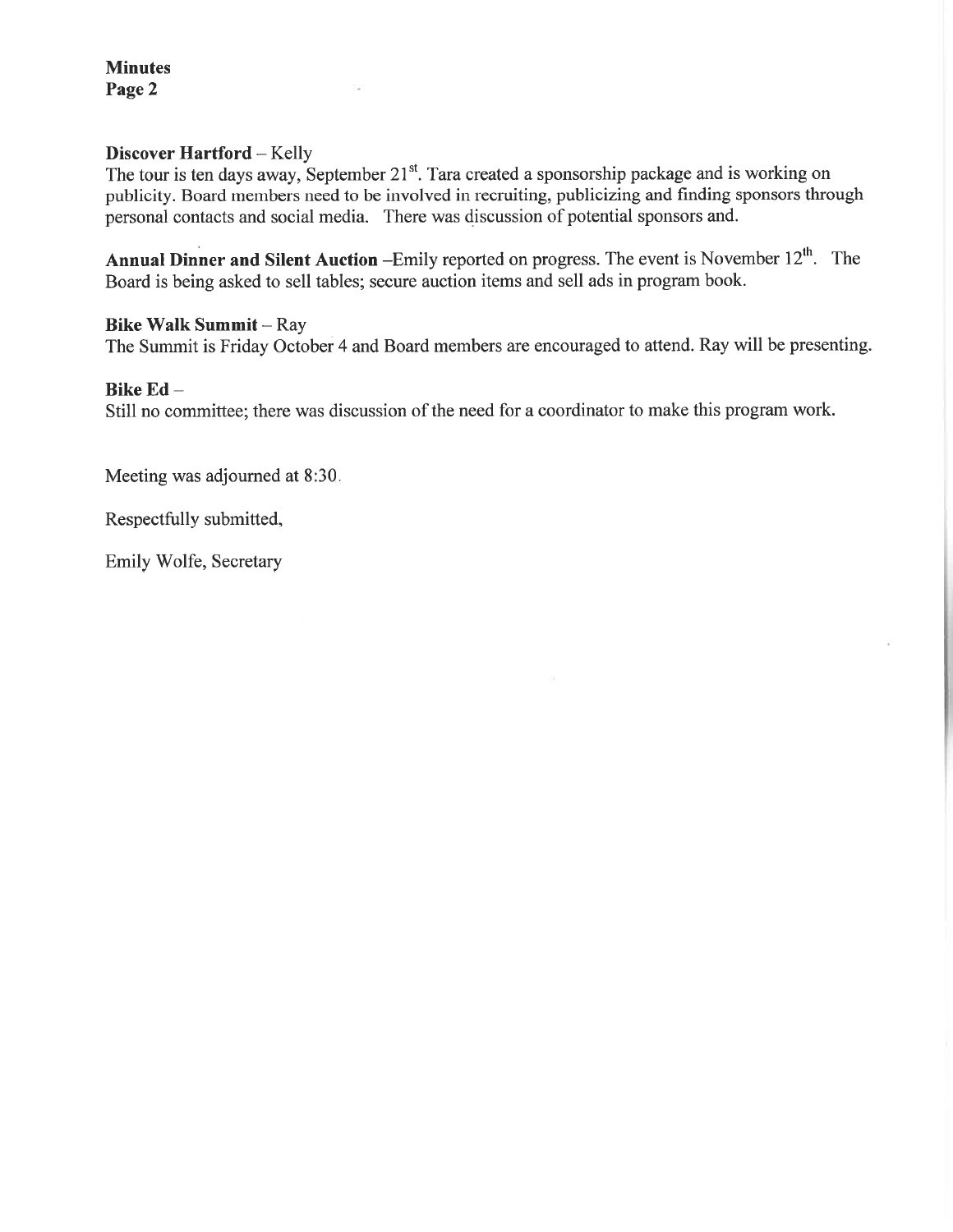**Minutes** Page 2

### **Discover Hartford - Kelly**

The tour is ten days away, September 21<sup>st</sup>. Tara created a sponsorship package and is working on publicity. Board members need to be involved in recruiting, publicizing and finding sponsors through personal contacts and social media. There was discussion of potential sponsors and.

**Annual Dinner and Silent Auction** -Emily reported on progress. The event is November  $12<sup>th</sup>$ . The Board is being asked to sell tables; secure auction items and sell ads in program book.

### **Bike Walk Summit - Ray**

The Summit is Friday October 4 and Board members are encouraged to attend. Ray will be presenting.

### Bike Ed-

Still no committee; there was discussion of the need for a coordinator to make this program work.

Meeting was adjourned at 8:30.

Respectfully submitted,

Emily Wolfe, Secretary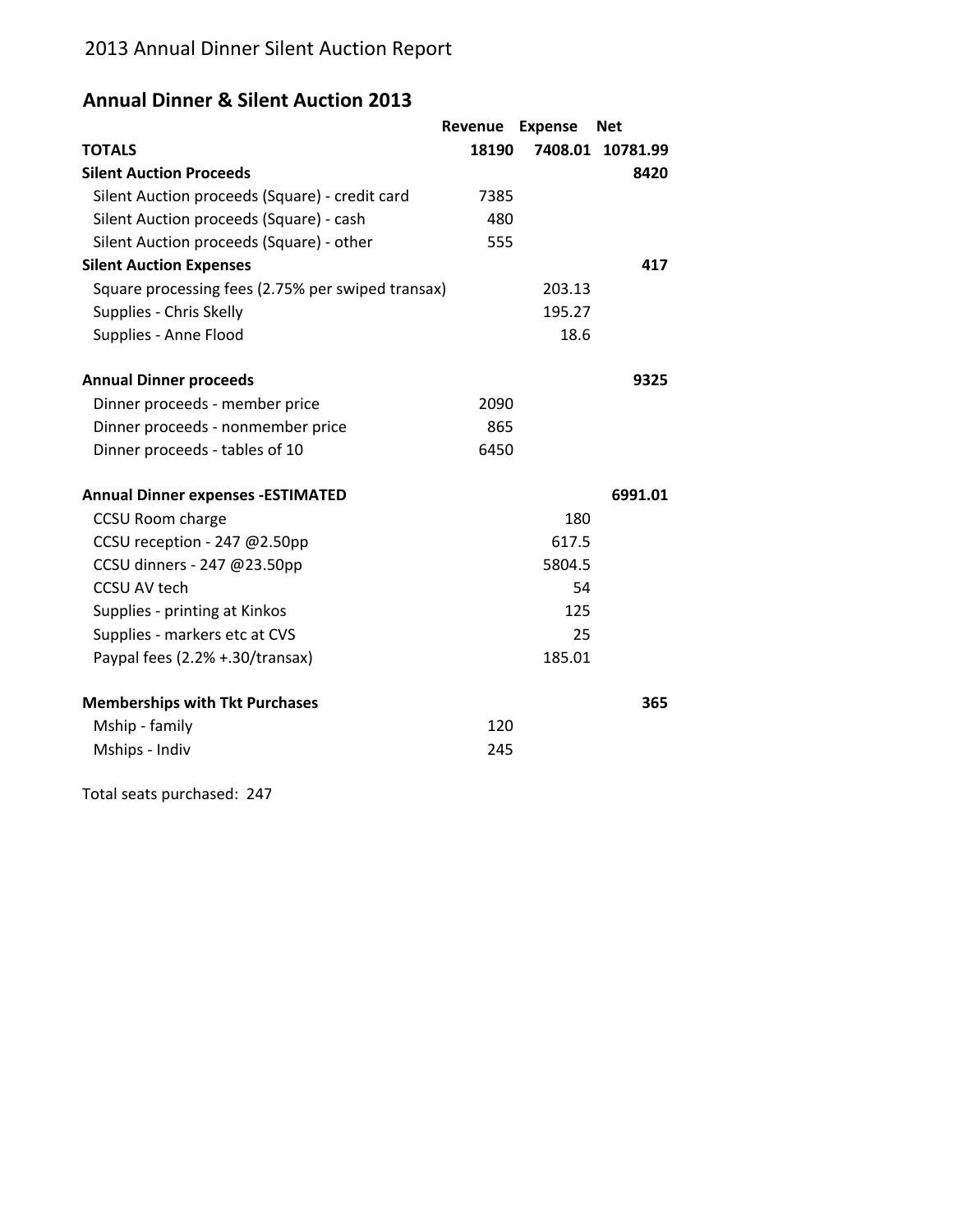# **Annual Dinner & Silent Auction 2013**

|                                                   | Revenue | <b>Expense</b> | <b>Net</b>       |
|---------------------------------------------------|---------|----------------|------------------|
| <b>TOTALS</b>                                     | 18190   |                | 7408.01 10781.99 |
| <b>Silent Auction Proceeds</b>                    |         |                | 8420             |
| Silent Auction proceeds (Square) - credit card    | 7385    |                |                  |
| Silent Auction proceeds (Square) - cash           | 480     |                |                  |
| Silent Auction proceeds (Square) - other          | 555     |                |                  |
| <b>Silent Auction Expenses</b>                    |         |                | 417              |
| Square processing fees (2.75% per swiped transax) |         | 203.13         |                  |
| Supplies - Chris Skelly                           |         | 195.27         |                  |
| Supplies - Anne Flood                             |         | 18.6           |                  |
| <b>Annual Dinner proceeds</b>                     |         |                | 9325             |
| Dinner proceeds - member price                    | 2090    |                |                  |
| Dinner proceeds - nonmember price                 | 865     |                |                  |
| Dinner proceeds - tables of 10                    | 6450    |                |                  |
| <b>Annual Dinner expenses -ESTIMATED</b>          |         |                | 6991.01          |
| CCSU Room charge                                  |         | 180            |                  |
| CCSU reception - 247 @2.50pp                      |         | 617.5          |                  |
| CCSU dinners - 247 @23.50pp                       |         | 5804.5         |                  |
| <b>CCSU AV tech</b>                               |         | 54             |                  |
| Supplies - printing at Kinkos                     |         | 125            |                  |
| Supplies - markers etc at CVS                     |         | 25             |                  |
| Paypal fees (2.2% +.30/transax)                   |         | 185.01         |                  |
| <b>Memberships with Tkt Purchases</b>             |         |                | 365              |
| Mship - family                                    | 120     |                |                  |
| Mships - Indiv                                    | 245     |                |                  |
|                                                   |         |                |                  |

Total seats purchased: 247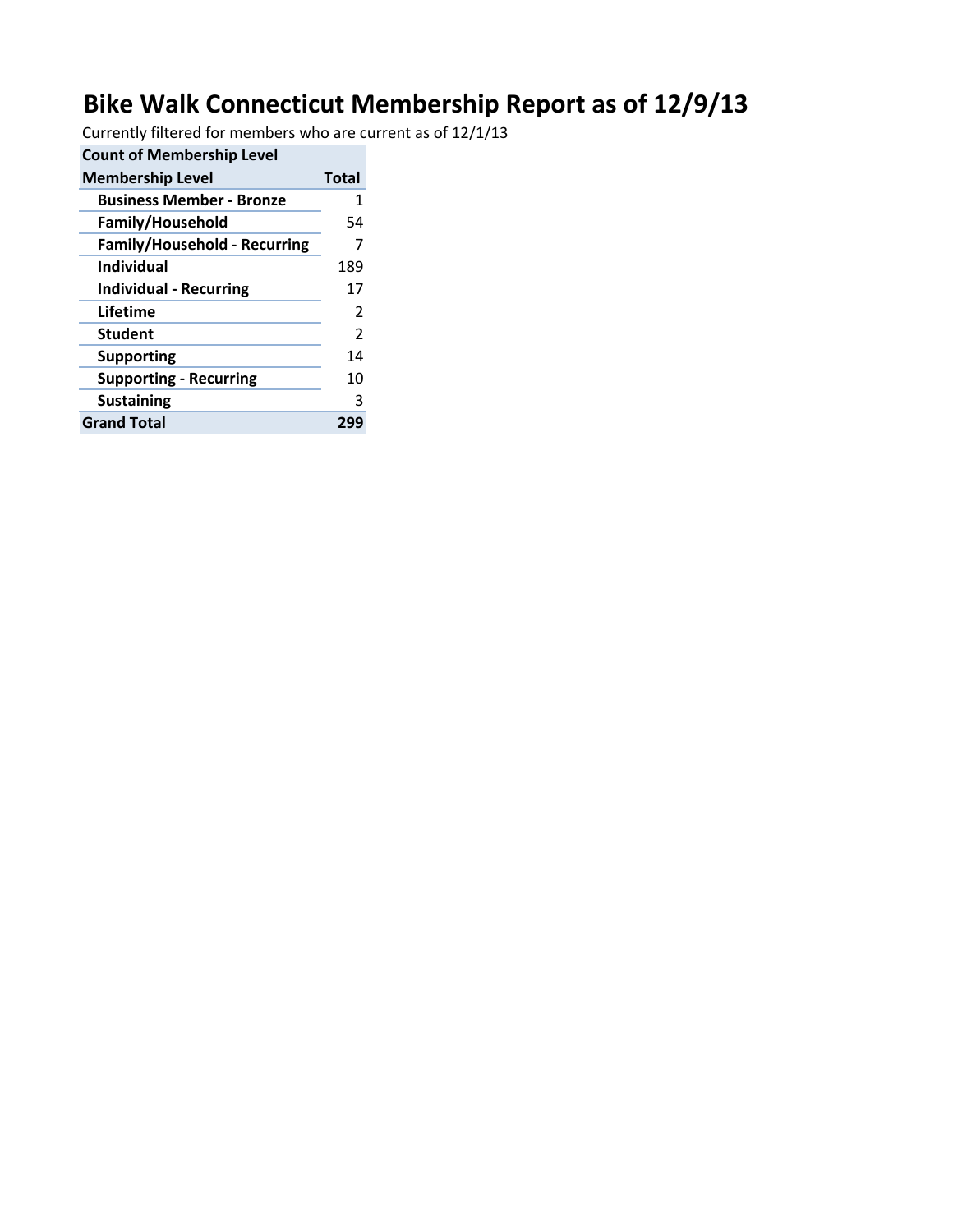# **Bike Walk Connecticut Membership Report as of 12/9/13**

Currently filtered for members who are current as of 12/1/13

| <b>Count of Membership Level</b>    |       |
|-------------------------------------|-------|
| <b>Membership Level</b>             | Total |
| <b>Business Member - Bronze</b>     | 1     |
| <b>Family/Household</b>             | 54    |
| <b>Family/Household - Recurring</b> |       |
| <b>Individual</b>                   | 189   |
| <b>Individual - Recurring</b>       | 17    |
| Lifetime                            | 2     |
| <b>Student</b>                      | 2     |
| <b>Supporting</b>                   | 14    |
| <b>Supporting - Recurring</b>       | 10    |
| <b>Sustaining</b>                   | З     |
| <b>Grand Total</b>                  | 299   |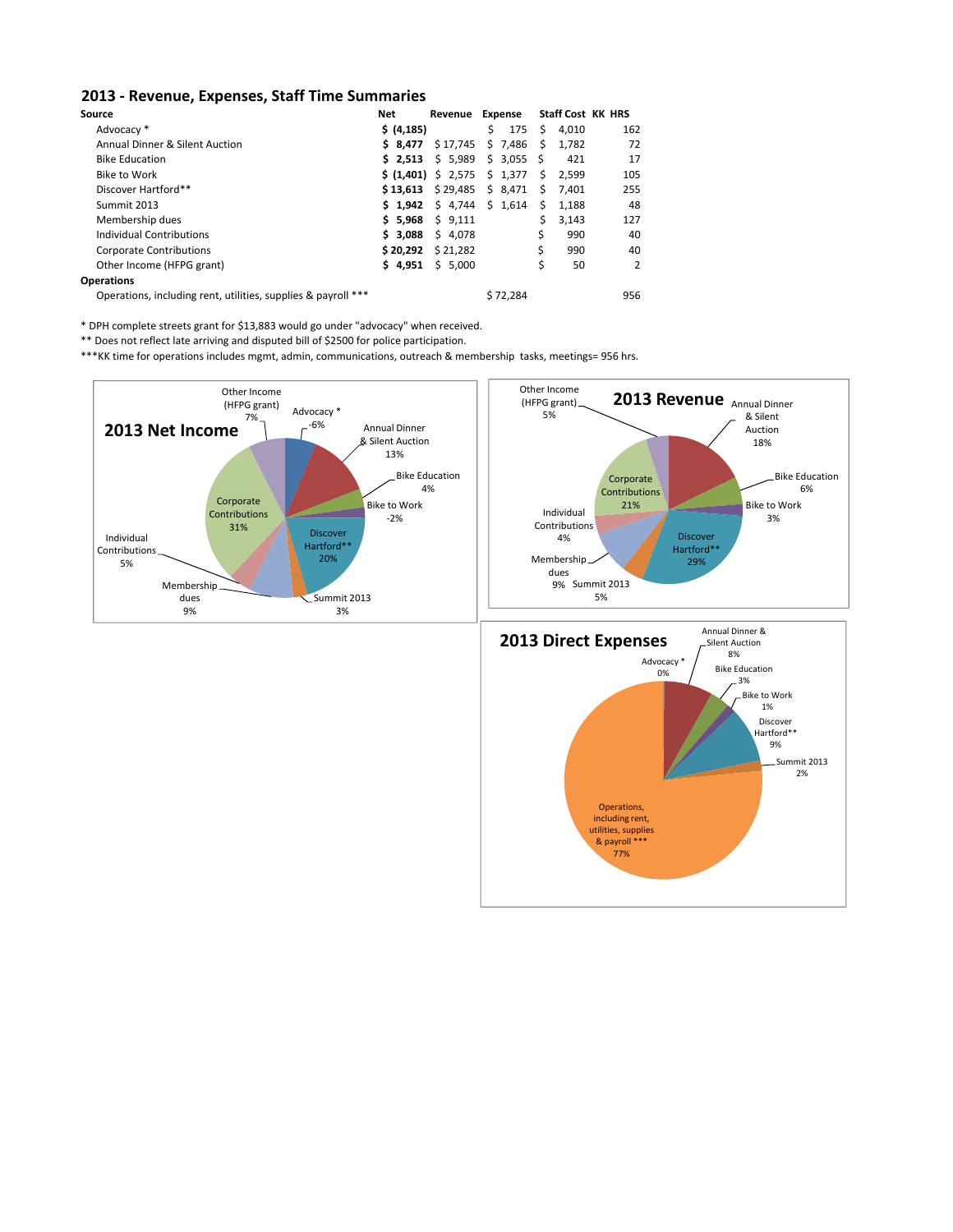#### **2013 ‐ Revenue, Expenses, Staff Time Summaries**

| Source                                                        | Net         | Revenue Expense     |           |    |       | <b>Staff Cost KK HRS</b> |
|---------------------------------------------------------------|-------------|---------------------|-----------|----|-------|--------------------------|
| Advocacy *                                                    | \$ (4, 185) |                     | \$<br>175 | Ś. | 4.010 | 162                      |
| <b>Annual Dinner &amp; Silent Auction</b>                     | \$8.477     | \$17,745            | \$7,486   | Ŝ. | 1.782 | 72                       |
| <b>Bike Education</b>                                         | 52.513      | \$5,989             | \$3,055   | Ŝ. | 421   | 17                       |
| Bike to Work                                                  |             | \$ (1,401) \$ 2,575 | \$1,377   | Ŝ. | 2.599 | 105                      |
| Discover Hartford**                                           | \$13,613    | \$29,485            | \$8,471   | S. | 7,401 | 255                      |
| Summit 2013                                                   | $5 \t1,942$ | \$4,744             | \$1,614   | Ś. | 1,188 | 48                       |
| Membership dues                                               | \$5.968     | \$9.111             |           | Ś  | 3.143 | 127                      |
| Individual Contributions                                      | \$3.088     | \$4,078             |           | \$ | 990   | 40                       |
| <b>Corporate Contributions</b>                                | \$20.292    | \$21.282            |           |    | 990   | 40                       |
| Other Income (HFPG grant)                                     | \$4,951     | \$5.000             |           |    | 50    | 2                        |
| <b>Operations</b>                                             |             |                     |           |    |       |                          |
| Operations, including rent, utilities, supplies & payroll *** |             |                     | \$72.284  |    |       | 956                      |

\* DPH complete streets grant for \$13,883 would go under "advocacy" when received.

\*\* Does not reflect late arriving and disputed bill of \$2500 for police participation.

\*\*\*KK time for operations includes mgmt, admin, communications, outreach & membership tasks, meetings= 956 hrs.